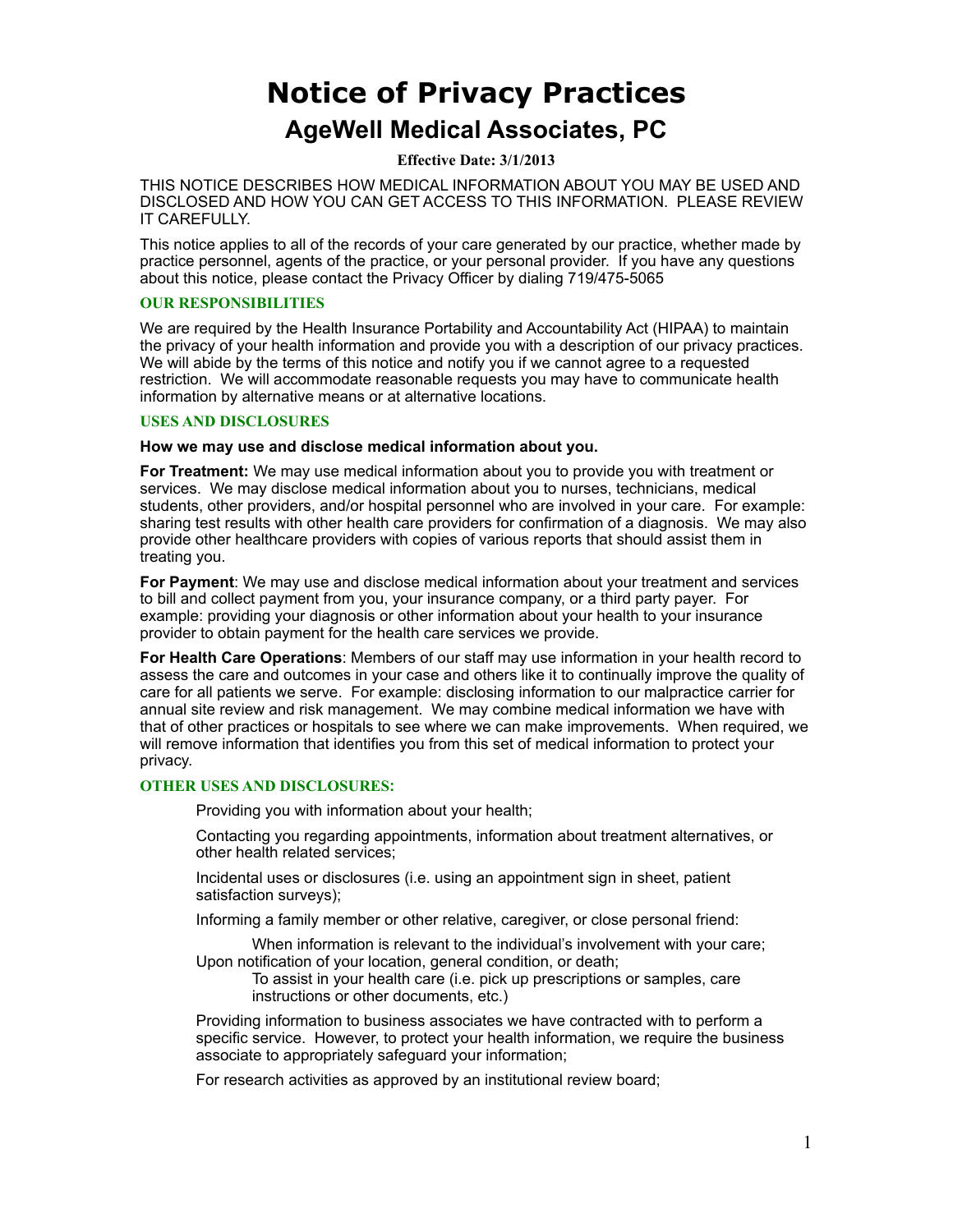# **Notice of Privacy Practices AgeWell Medical Associates, PC**

**Effective Date: 3/1/2013** 

THIS NOTICE DESCRIBES HOW MEDICAL INFORMATION ABOUT YOU MAY BE USED AND DISCLOSED AND HOW YOU CAN GET ACCESS TO THIS INFORMATION. PLEASE REVIEW IT CAREFULLY.

This notice applies to all of the records of your care generated by our practice, whether made by practice personnel, agents of the practice, or your personal provider. If you have any questions about this notice, please contact the Privacy Officer by dialing 719/475-5065

# **OUR RESPONSIBILITIES**

We are required by the Health Insurance Portability and Accountability Act (HIPAA) to maintain the privacy of your health information and provide you with a description of our privacy practices. We will abide by the terms of this notice and notify you if we cannot agree to a requested restriction. We will accommodate reasonable requests you may have to communicate health information by alternative means or at alternative locations.

#### **USES AND DISCLOSURES**

**How we may use and disclose medical information about you.**

**For Treatment:** We may use medical information about you to provide you with treatment or services. We may disclose medical information about you to nurses, technicians, medical students, other providers, and/or hospital personnel who are involved in your care. For example: sharing test results with other health care providers for confirmation of a diagnosis. We may also provide other healthcare providers with copies of various reports that should assist them in treating you.

**For Payment**: We may use and disclose medical information about your treatment and services to bill and collect payment from you, your insurance company, or a third party payer. For example: providing your diagnosis or other information about your health to your insurance provider to obtain payment for the health care services we provide.

**For Health Care Operations**: Members of our staff may use information in your health record to assess the care and outcomes in your case and others like it to continually improve the quality of care for all patients we serve. For example: disclosing information to our malpractice carrier for annual site review and risk management. We may combine medical information we have with that of other practices or hospitals to see where we can make improvements. When required, we will remove information that identifies you from this set of medical information to protect your privacy.

## **OTHER USES AND DISCLOSURES:**

Providing you with information about your health;

Contacting you regarding appointments, information about treatment alternatives, or other health related services;

Incidental uses or disclosures (i.e. using an appointment sign in sheet, patient satisfaction surveys);

Informing a family member or other relative, caregiver, or close personal friend:

When information is relevant to the individual's involvement with your care: Upon notification of your location, general condition, or death;

To assist in your health care (i.e. pick up prescriptions or samples, care instructions or other documents, etc.)

Providing information to business associates we have contracted with to perform a specific service. However, to protect your health information, we require the business associate to appropriately safeguard your information;

For research activities as approved by an institutional review board;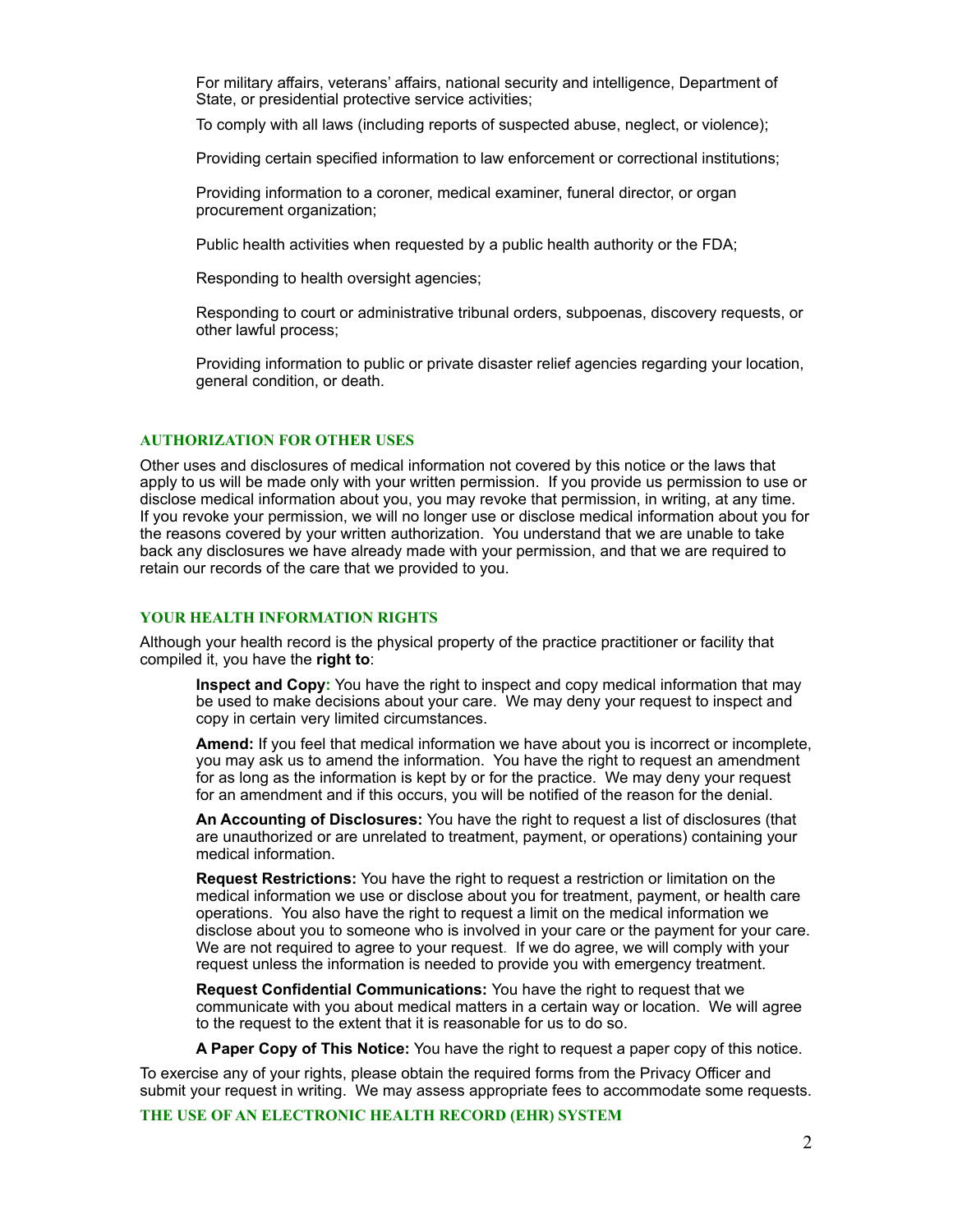For military affairs, veterans' affairs, national security and intelligence, Department of State, or presidential protective service activities;

To comply with all laws (including reports of suspected abuse, neglect, or violence);

Providing certain specified information to law enforcement or correctional institutions;

Providing information to a coroner, medical examiner, funeral director, or organ procurement organization;

Public health activities when requested by a public health authority or the FDA;

Responding to health oversight agencies;

Responding to court or administrative tribunal orders, subpoenas, discovery requests, or other lawful process;

Providing information to public or private disaster relief agencies regarding your location, general condition, or death.

#### **AUTHORIZATION FOR OTHER USES**

Other uses and disclosures of medical information not covered by this notice or the laws that apply to us will be made only with your written permission. If you provide us permission to use or disclose medical information about you, you may revoke that permission, in writing, at any time. If you revoke your permission, we will no longer use or disclose medical information about you for the reasons covered by your written authorization. You understand that we are unable to take back any disclosures we have already made with your permission, and that we are required to retain our records of the care that we provided to you.

# **YOUR HEALTH INFORMATION RIGHTS**

Although your health record is the physical property of the practice practitioner or facility that compiled it, you have the **right to**:

**Inspect and Copy:** You have the right to inspect and copy medical information that may be used to make decisions about your care. We may deny your request to inspect and copy in certain very limited circumstances.

**Amend:** If you feel that medical information we have about you is incorrect or incomplete, you may ask us to amend the information. You have the right to request an amendment for as long as the information is kept by or for the practice. We may deny your request for an amendment and if this occurs, you will be notified of the reason for the denial.

**An Accounting of Disclosures:** You have the right to request a list of disclosures (that are unauthorized or are unrelated to treatment, payment, or operations) containing your medical information.

**Request Restrictions:** You have the right to request a restriction or limitation on the medical information we use or disclose about you for treatment, payment, or health care operations. You also have the right to request a limit on the medical information we disclose about you to someone who is involved in your care or the payment for your care. We are not required to agree to your request. If we do agree, we will comply with your request unless the information is needed to provide you with emergency treatment.

**Request Confidential Communications:** You have the right to request that we communicate with you about medical matters in a certain way or location. We will agree to the request to the extent that it is reasonable for us to do so.

**A Paper Copy of This Notice:** You have the right to request a paper copy of this notice.

To exercise any of your rights, please obtain the required forms from the Privacy Officer and submit your request in writing. We may assess appropriate fees to accommodate some requests.

**THE USE OF AN ELECTRONIC HEALTH RECORD (EHR) SYSTEM**